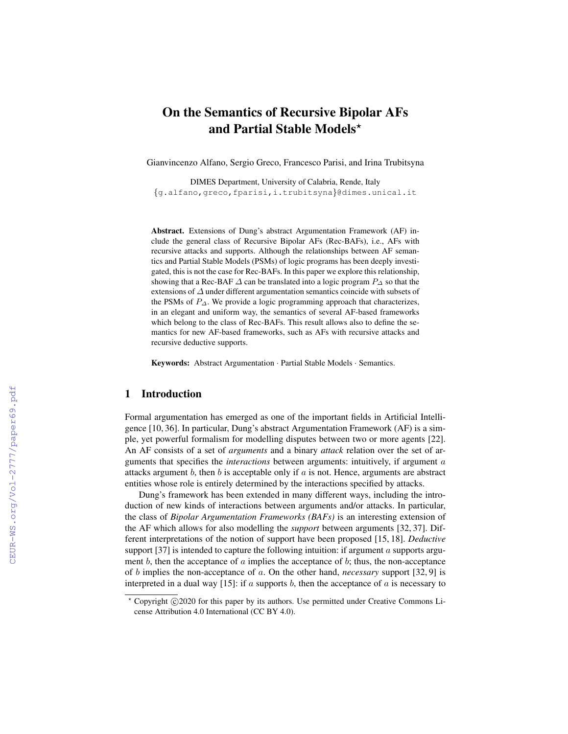# On the Semantics of Recursive Bipolar AFs and Partial Stable Models\*

Gianvincenzo Alfano, Sergio Greco, Francesco Parisi, and Irina Trubitsyna

DIMES Department, University of Calabria, Rende, Italy {g.alfano,greco,fparisi,i.trubitsyna}@dimes.unical.it

Abstract. Extensions of Dung's abstract Argumentation Framework (AF) include the general class of Recursive Bipolar AFs (Rec-BAFs), i.e., AFs with recursive attacks and supports. Although the relationships between AF semantics and Partial Stable Models (PSMs) of logic programs has been deeply investigated, this is not the case for Rec-BAFs. In this paper we explore this relationship, showing that a Rec-BAF  $\Delta$  can be translated into a logic program  $P_{\Delta}$  so that the extensions of ∆ under different argumentation semantics coincide with subsets of the PSMs of  $P_{\Delta}$ . We provide a logic programming approach that characterizes, in an elegant and uniform way, the semantics of several AF-based frameworks which belong to the class of Rec-BAFs. This result allows also to define the semantics for new AF-based frameworks, such as AFs with recursive attacks and recursive deductive supports.

Keywords: Abstract Argumentation · Partial Stable Models · Semantics.

### 1 Introduction

Formal argumentation has emerged as one of the important fields in Artificial Intelligence [10, 36]. In particular, Dung's abstract Argumentation Framework (AF) is a simple, yet powerful formalism for modelling disputes between two or more agents [22]. An AF consists of a set of *arguments* and a binary *attack* relation over the set of arguments that specifies the *interactions* between arguments: intuitively, if argument a attacks argument b, then b is acceptable only if  $a$  is not. Hence, arguments are abstract entities whose role is entirely determined by the interactions specified by attacks.

Dung's framework has been extended in many different ways, including the introduction of new kinds of interactions between arguments and/or attacks. In particular, the class of *Bipolar Argumentation Frameworks (BAFs)* is an interesting extension of the AF which allows for also modelling the *support* between arguments [32, 37]. Different interpretations of the notion of support have been proposed [15, 18]. *Deductive* support  $[37]$  is intended to capture the following intuition: if argument a supports argument  $b$ , then the acceptance of  $a$  implies the acceptance of  $b$ ; thus, the non-acceptance of b implies the non-acceptance of a. On the other hand, *necessary* support [32, 9] is interpreted in a dual way [15]: if  $a$  supports  $b$ , then the acceptance of  $a$  is necessary to

<sup>\*</sup> Copyright ©2020 for this paper by its authors. Use permitted under Creative Commons License Attribution 4.0 International (CC BY 4.0).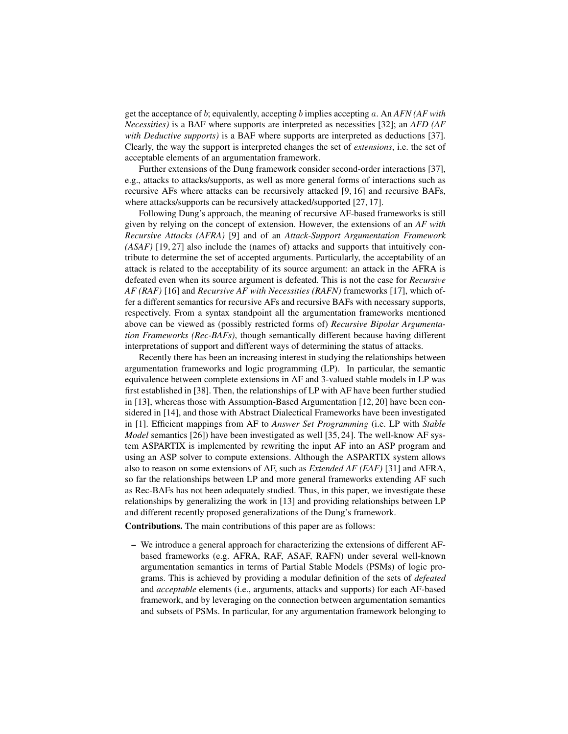get the acceptance of b; equivalently, accepting b implies accepting a. An *AFN (AF with Necessities)* is a BAF where supports are interpreted as necessities [32]; an *AFD (AF with Deductive supports)* is a BAF where supports are interpreted as deductions [37]. Clearly, the way the support is interpreted changes the set of *extensions*, i.e. the set of acceptable elements of an argumentation framework.

Further extensions of the Dung framework consider second-order interactions [37], e.g., attacks to attacks/supports, as well as more general forms of interactions such as recursive AFs where attacks can be recursively attacked [9, 16] and recursive BAFs, where attacks/supports can be recursively attacked/supported [27, 17].

Following Dung's approach, the meaning of recursive AF-based frameworks is still given by relying on the concept of extension. However, the extensions of an *AF with Recursive Attacks (AFRA)* [9] and of an *Attack-Support Argumentation Framework (ASAF)* [19, 27] also include the (names of) attacks and supports that intuitively contribute to determine the set of accepted arguments. Particularly, the acceptability of an attack is related to the acceptability of its source argument: an attack in the AFRA is defeated even when its source argument is defeated. This is not the case for *Recursive AF (RAF)* [16] and *Recursive AF with Necessities (RAFN)* frameworks [17], which offer a different semantics for recursive AFs and recursive BAFs with necessary supports, respectively. From a syntax standpoint all the argumentation frameworks mentioned above can be viewed as (possibly restricted forms of) *Recursive Bipolar Argumentation Frameworks (Rec-BAFs)*, though semantically different because having different interpretations of support and different ways of determining the status of attacks.

Recently there has been an increasing interest in studying the relationships between argumentation frameworks and logic programming (LP). In particular, the semantic equivalence between complete extensions in AF and 3-valued stable models in LP was first established in [38]. Then, the relationships of LP with AF have been further studied in [13], whereas those with Assumption-Based Argumentation [12, 20] have been considered in [14], and those with Abstract Dialectical Frameworks have been investigated in [1]. Efficient mappings from AF to *Answer Set Programming* (i.e. LP with *Stable Model* semantics [26]) have been investigated as well [35, 24]. The well-know AF system ASPARTIX is implemented by rewriting the input AF into an ASP program and using an ASP solver to compute extensions. Although the ASPARTIX system allows also to reason on some extensions of AF, such as *Extended AF (EAF)* [31] and AFRA, so far the relationships between LP and more general frameworks extending AF such as Rec-BAFs has not been adequately studied. Thus, in this paper, we investigate these relationships by generalizing the work in [13] and providing relationships between LP and different recently proposed generalizations of the Dung's framework.

Contributions. The main contributions of this paper are as follows:

– We introduce a general approach for characterizing the extensions of different AFbased frameworks (e.g. AFRA, RAF, ASAF, RAFN) under several well-known argumentation semantics in terms of Partial Stable Models (PSMs) of logic programs. This is achieved by providing a modular definition of the sets of *defeated* and *acceptable* elements (i.e., arguments, attacks and supports) for each AF-based framework, and by leveraging on the connection between argumentation semantics and subsets of PSMs. In particular, for any argumentation framework belonging to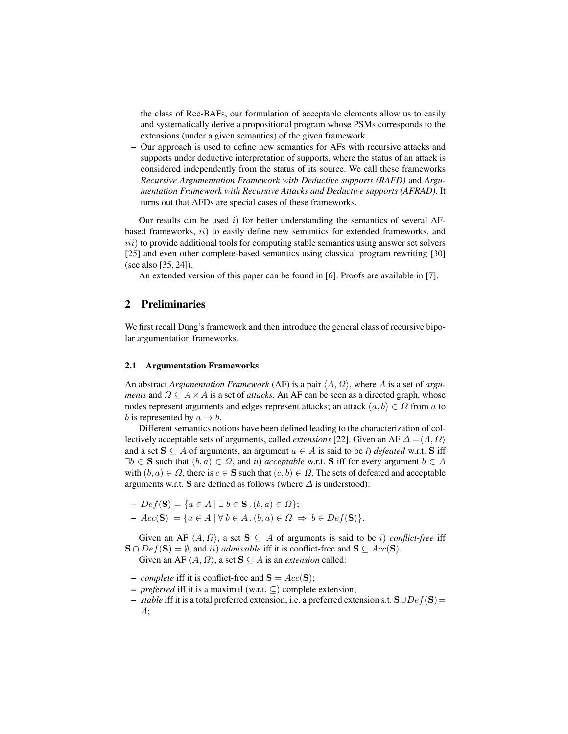the class of Rec-BAFs, our formulation of acceptable elements allow us to easily and systematically derive a propositional program whose PSMs corresponds to the extensions (under a given semantics) of the given framework.

– Our approach is used to define new semantics for AFs with recursive attacks and supports under deductive interpretation of supports, where the status of an attack is considered independently from the status of its source. We call these frameworks *Recursive Argumentation Framework with Deductive supports (RAFD)* and *Argumentation Framework with Recursive Attacks and Deductive supports (AFRAD)*. It turns out that AFDs are special cases of these frameworks.

Our results can be used  $i)$  for better understanding the semantics of several AFbased frameworks,  $ii)$  to easily define new semantics for extended frameworks, and  $iii)$  to provide additional tools for computing stable semantics using answer set solvers [25] and even other complete-based semantics using classical program rewriting [30] (see also [35, 24]).

An extended version of this paper can be found in [6]. Proofs are available in [7].

# 2 Preliminaries

We first recall Dung's framework and then introduce the general class of recursive bipolar argumentation frameworks.

#### 2.1 Argumentation Frameworks

An abstract *Argumentation Framework* (AF) is a pair  $\langle A, \Omega \rangle$ , where A is a set of *arguments* and  $\Omega \subseteq A \times A$  is a set of *attacks*. An AF can be seen as a directed graph, whose nodes represent arguments and edges represent attacks; an attack  $(a, b) \in \Omega$  from a to b is represented by  $a \rightarrow b$ .

Different semantics notions have been defined leading to the characterization of collectively acceptable sets of arguments, called *extensions* [22]. Given an AF  $\Delta = \langle A, \Omega \rangle$ and a set  $S \subseteq A$  of arguments, an argument  $a \in A$  is said to be *i*) *defeated* w.r.t. S iff  $\exists b \in \mathbf{S}$  such that  $(b, a) \in \Omega$ , and *ii*) *acceptable* w.r.t. S iff for every argument  $b \in A$ with  $(b, a) \in \Omega$ , there is  $c \in \mathbf{S}$  such that  $(c, b) \in \Omega$ . The sets of defeated and acceptable arguments w.r.t. S are defined as follows (where  $\Delta$  is understood):

- $Def(S) = {a ∈ A | ∃ b ∈ S.(b, a) ∈ Ω};$
- $Acc(S) = \{a \in A \mid \forall b \in A \cdot (b, a) \in \Omega \Rightarrow b \in Def(S)\}.$

Given an AF  $\langle A, \Omega \rangle$ , a set  $S \subseteq A$  of arguments is said to be *i*) *conflict-free* iff  $\mathbf{S} \cap Def(\mathbf{S}) = \emptyset$ , and *ii*) *admissible* iff it is conflict-free and  $\mathbf{S} \subseteq Acc(\mathbf{S})$ .

Given an AF  $\langle A, \Omega \rangle$ , a set  $S \subseteq A$  is an *extension* called:

- *complete* iff it is conflict-free and  $S = Acc(S)$ ;
- *preferred* iff it is a maximal (w.r.t. ⊆) complete extension;
- *stable* iff it is a total preferred extension, i.e. a preferred extension s.t. S∪Def(S)=  $A$ ;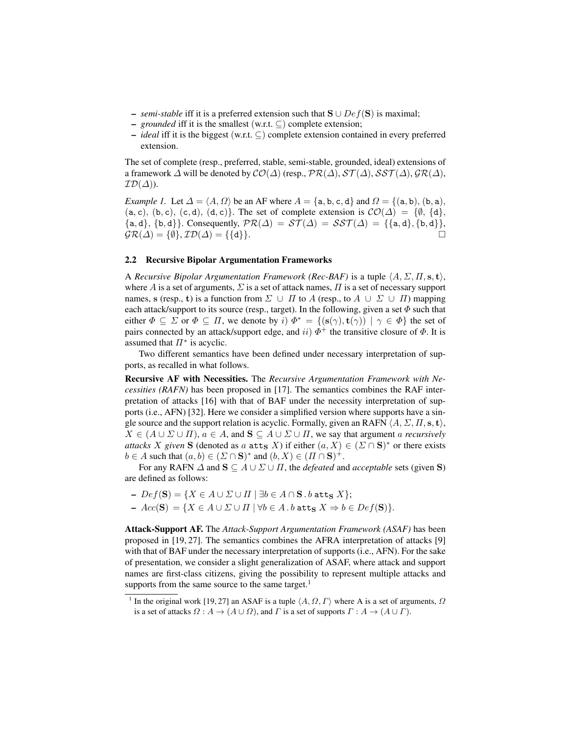- *semi-stable* iff it is a preferred extension such that  $S \cup Def(S)$  is maximal;
- *grounded* iff it is the smallest (w.r.t. ⊆) complete extension;
- *ideal* iff it is the biggest (w.r.t. ⊆) complete extension contained in every preferred extension.

The set of complete (resp., preferred, stable, semi-stable, grounded, ideal) extensions of a framework  $\Delta$  will be denoted by  $\mathcal{CO}(\Delta)$  (resp.,  $\mathcal{PR}(\Delta)$ ,  $\mathcal{ST}(\Delta)$ ,  $\mathcal{SST}(\Delta)$ ,  $\mathcal{GR}(\Delta)$ ,  $\mathcal{ID}(\Delta)$ ).

*Example 1.* Let  $\Delta = \langle A, \Omega \rangle$  be an AF where  $A = \{a, b, c, d\}$  and  $\Omega = \{(a, b), (b, a),$  $(a, c), (b, c), (c, d), (d, c)$ . The set of complete extension is  $\mathcal{CO}(\Delta) = \{\emptyset, \{d\},\}$  ${a, d}, {b, d}.$  Consequently,  $PR(\Delta) = ST(\Delta) = SST(\Delta) = {a, d}, {b, d}.$  $\mathcal{GR}(\Delta) = \{\emptyset\}, \mathcal{ID}(\Delta) = \{\{\mathtt{d}\}\}.$ 

#### 2.2 Recursive Bipolar Argumentation Frameworks

A *Recursive Bipolar Argumentation Framework (Rec-BAF)* is a tuple  $\langle A, \Sigma, \Pi, s, t \rangle$ , where A is a set of arguments,  $\Sigma$  is a set of attack names,  $\Pi$  is a set of necessary support names, s (resp., t) is a function from  $\Sigma \cup \Pi$  to A (resp., to  $A \cup \Sigma \cup \Pi$ ) mapping each attack/support to its source (resp., target). In the following, given a set  $\Phi$  such that either  $\Phi \subseteq \Sigma$  or  $\Phi \subseteq \Pi$ , we denote by  $i) \Phi^* = \{ (\mathbf{s}(\gamma), \mathbf{t}(\gamma)) \mid \gamma \in \Phi \}$  the set of pairs connected by an attack/support edge, and  $ii) \Phi^+$  the transitive closure of  $\Phi$ . It is assumed that  $\Pi^*$  is acyclic.

Two different semantics have been defined under necessary interpretation of supports, as recalled in what follows.

Recursive AF with Necessities. The *Recursive Argumentation Framework with Necessities (RAFN)* has been proposed in [17]. The semantics combines the RAF interpretation of attacks [16] with that of BAF under the necessity interpretation of supports (i.e., AFN) [32]. Here we consider a simplified version where supports have a single source and the support relation is acyclic. Formally, given an RAFN  $\langle A, \Sigma, \Pi, \mathbf{s}, \mathbf{t} \rangle$ ,  $X \in (A \cup \Sigma \cup \Pi), a \in A$ , and  $S \subseteq A \cup \Sigma \cup \Pi$ , we say that argument a *recursively attacks* X given S (denoted as a  $\texttt{att}_S$  X) if either  $(a, X) \in (\Sigma \cap S)^*$  or there exists  $b \in A$  such that  $(a, b) \in (\Sigma \cap \mathbf{S})^*$  and  $(b, X) \in (\Pi \cap \mathbf{S})^+$ .

For any RAFN  $\Delta$  and  $S \subseteq A \cup \Sigma \cup \Pi$ , the *defeated* and *acceptable* sets (given S) are defined as follows:

$$
\begin{aligned} &- \ Def(\mathbf{S}) = \{ X \in A \cup \Sigma \cup \Pi \mid \exists b \in A \cap \mathbf{S} \text{ . } b \text{ at } \mathbf{t}_{\mathbf{S}} \ X \}; \\ &- \ Acc(\mathbf{S}) = \{ X \in A \cup \Sigma \cup \Pi \mid \forall b \in A \text{ . } b \text{ at } \mathbf{t}_{\mathbf{S}} \ X \Rightarrow b \in Def(\mathbf{S}) \}. \end{aligned}
$$

Attack-Support AF. The *Attack-Support Argumentation Framework (ASAF)* has been proposed in [19, 27]. The semantics combines the AFRA interpretation of attacks [9] with that of BAF under the necessary interpretation of supports (i.e., AFN). For the sake of presentation, we consider a slight generalization of ASAF, where attack and support names are first-class citizens, giving the possibility to represent multiple attacks and supports from the same source to the same target. $<sup>1</sup>$ </sup>

<sup>&</sup>lt;sup>1</sup> In the original work [19, 27] an ASAF is a tuple  $\langle A, \Omega, \Gamma \rangle$  where A is a set of arguments,  $\Omega$ is a set of attacks  $\Omega : A \to (A \cup \Omega)$ , and  $\Gamma$  is a set of supports  $\Gamma : A \to (A \cup \Gamma)$ .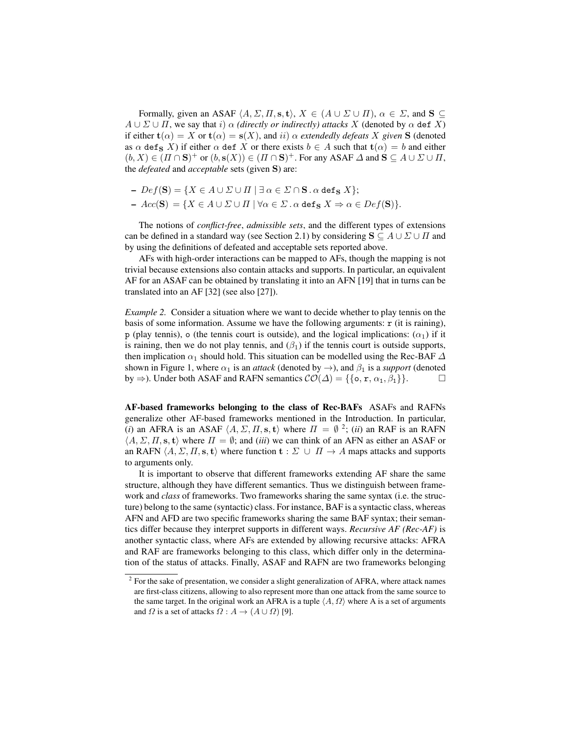Formally, given an ASAF  $\langle A, \Sigma, \Pi, s, t \rangle$ ,  $X \in (A \cup \Sigma \cup \Pi)$ ,  $\alpha \in \Sigma$ , and  $S \subseteq$  $A \cup \Sigma \cup \Pi$ , we say that i)  $\alpha$  *(directly or indirectly) attacks* X *(denoted by*  $\alpha$  *def X)* if either  $\mathbf{t}(\alpha) = X$  or  $\mathbf{t}(\alpha) = \mathbf{s}(X)$ , and ii)  $\alpha$  *extendedly defeats* X *given* **S** (denoted as  $\alpha$  def<sub>S</sub> X) if either  $\alpha$  def X or there exists  $b \in A$  such that  $t(\alpha) = b$  and either  $(b, X) \in (\Pi \cap \mathbf{S})^+$  or  $(b, \mathbf{s}(X)) \in (\Pi \cap \mathbf{S})^+$ . For any ASAF  $\Delta$  and  $\mathbf{S} \subseteq A \cup \Sigma \cup \Pi$ , the *defeated* and *acceptable* sets (given S) are:

- $Def(S) = {X \in A \cup \Sigma \cup \Pi \mid \exists \alpha \in \Sigma \cap S \cdot \alpha \text{ def}_S X};$
- $Acc(S) = \{ X \in A \cup \Sigma \cup \Pi \mid \forall \alpha \in \Sigma \cdot \alpha \text{ def}_S X \Rightarrow \alpha \in Def(S) \}.$

The notions of *conflict-free*, *admissible sets*, and the different types of extensions can be defined in a standard way (see Section 2.1) by considering  $S \subseteq A \cup \Sigma \cup \Pi$  and by using the definitions of defeated and acceptable sets reported above.

AFs with high-order interactions can be mapped to AFs, though the mapping is not trivial because extensions also contain attacks and supports. In particular, an equivalent AF for an ASAF can be obtained by translating it into an AFN [19] that in turns can be translated into an AF [32] (see also [27]).

*Example 2.* Consider a situation where we want to decide whether to play tennis on the basis of some information. Assume we have the following arguments:  $\mathbf r$  (it is raining), p (play tennis), o (the tennis court is outside), and the logical implications:  $(\alpha_1)$  if it is raining, then we do not play tennis, and  $(\beta_1)$  if the tennis court is outside supports, then implication  $\alpha_1$  should hold. This situation can be modelled using the Rec-BAF  $\Delta$ shown in Figure 1, where  $\alpha_1$  is an *attack* (denoted by  $\rightarrow$ ), and  $\beta_1$  is a *support* (denoted by  $\Rightarrow$ ). Under both ASAF and RAFN semantics  $\mathcal{CO}(\Delta) = \{\{\text{o}, \text{r}, \alpha_1, \beta_1\}\}.$ 

AF-based frameworks belonging to the class of Rec-BAFs ASAFs and RAFNs generalize other AF-based frameworks mentioned in the Introduction. In particular, (*i*) an AFRA is an ASAF  $\langle A, \Sigma, \Pi, s, t \rangle$  where  $\Pi = \emptyset$  <sup>2</sup>; (*ii*) an RAF is an RAFN  $\langle A, \Sigma, \Pi, \mathbf{s}, \mathbf{t} \rangle$  where  $\Pi = \emptyset$ ; and *(iii)* we can think of an AFN as either an ASAF or an RAFN  $\langle A, \Sigma, \Pi, s, t \rangle$  where function  $t : \Sigma \cup \Pi \rightarrow A$  maps attacks and supports to arguments only.

It is important to observe that different frameworks extending AF share the same structure, although they have different semantics. Thus we distinguish between framework and *class* of frameworks. Two frameworks sharing the same syntax (i.e. the structure) belong to the same (syntactic) class. For instance, BAF is a syntactic class, whereas AFN and AFD are two specific frameworks sharing the same BAF syntax; their semantics differ because they interpret supports in different ways. *Recursive AF (Rec-AF)* is another syntactic class, where AFs are extended by allowing recursive attacks: AFRA and RAF are frameworks belonging to this class, which differ only in the determination of the status of attacks. Finally, ASAF and RAFN are two frameworks belonging

 $2^2$  For the sake of presentation, we consider a slight generalization of AFRA, where attack names are first-class citizens, allowing to also represent more than one attack from the same source to the same target. In the original work an AFRA is a tuple  $\langle A, \Omega \rangle$  where A is a set of arguments and  $\Omega$  is a set of attacks  $\Omega$  :  $A \to (A \cup \Omega)$  [9].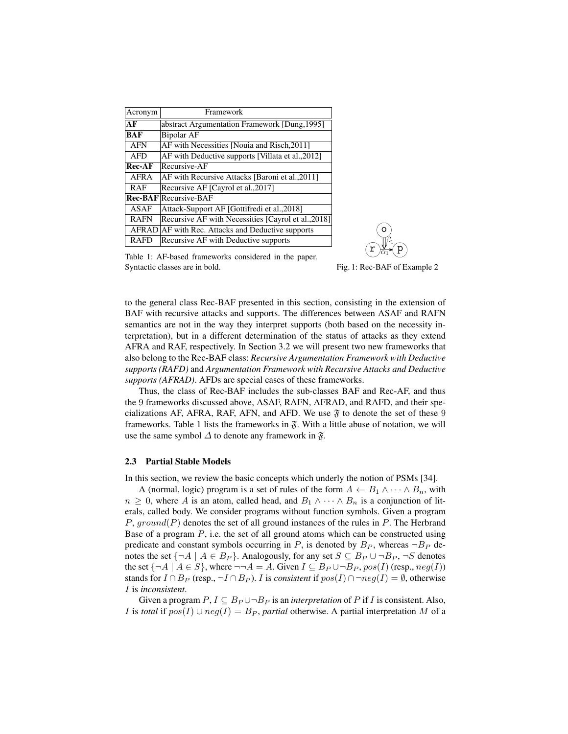| Acronym     | Framework                                           |
|-------------|-----------------------------------------------------|
| AF          | abstract Argumentation Framework [Dung, 1995]       |
| <b>BAF</b>  | <b>Bipolar AF</b>                                   |
| <b>AFN</b>  | AF with Necessities [Nouia and Risch, 2011]         |
| <b>AFD</b>  | AF with Deductive supports [Villata et al., 2012]   |
| $Rec-AF$    | Recursive-AF                                        |
| <b>AFRA</b> | AF with Recursive Attacks [Baroni et al., 2011]     |
| <b>RAF</b>  | Recursive AF [Cayrol et al., 2017]                  |
|             | Rec-BAF Recursive-BAF                               |
| ASAF        | Attack-Support AF [Gottifredi et al., 2018]         |
| <b>RAFN</b> | Recursive AF with Necessities [Cayrol et al., 2018] |
|             | AFRAD AF with Rec. Attacks and Deductive supports   |
| <b>RAFD</b> | Recursive AF with Deductive supports                |



Table 1: AF-based frameworks considered in the paper. Syntactic classes are in bold.

Fig. 1: Rec-BAF of Example 2

to the general class Rec-BAF presented in this section, consisting in the extension of BAF with recursive attacks and supports. The differences between ASAF and RAFN semantics are not in the way they interpret supports (both based on the necessity interpretation), but in a different determination of the status of attacks as they extend AFRA and RAF, respectively. In Section 3.2 we will present two new frameworks that also belong to the Rec-BAF class: *Recursive Argumentation Framework with Deductive supports (RAFD)* and *Argumentation Framework with Recursive Attacks and Deductive supports (AFRAD)*. AFDs are special cases of these frameworks.

Thus, the class of Rec-BAF includes the sub-classes BAF and Rec-AF, and thus the 9 frameworks discussed above, ASAF, RAFN, AFRAD, and RAFD, and their specializations AF, AFRA, RAF, AFN, and AFD. We use  $\mathfrak{F}$  to denote the set of these 9 frameworks. Table 1 lists the frameworks in  $\mathfrak{F}$ . With a little abuse of notation, we will use the same symbol  $\Delta$  to denote any framework in  $\mathfrak{F}$ .

#### 2.3 Partial Stable Models

In this section, we review the basic concepts which underly the notion of PSMs [34].

A (normal, logic) program is a set of rules of the form  $A \leftarrow B_1 \land \cdots \land B_n$ , with  $n \geq 0$ , where A is an atom, called head, and  $B_1 \wedge \cdots \wedge B_n$  is a conjunction of literals, called body. We consider programs without function symbols. Given a program  $P$ ,  $ground(P)$  denotes the set of all ground instances of the rules in  $P$ . The Herbrand Base of a program  $P$ , i.e. the set of all ground atoms which can be constructed using predicate and constant symbols occurring in P, is denoted by  $B_P$ , whereas  $\neg B_P$  denotes the set  $\{\neg A \mid A \in B_P\}$ . Analogously, for any set  $S \subseteq B_P \cup \neg B_P$ ,  $\neg S$  denotes the set  $\{\neg A \mid A \in S\}$ , where  $\neg\neg A = A$ . Given  $I \subseteq B_P \cup \neg B_P$ ,  $pos(I)$  (resp.,  $neg(I)$ ) stands for  $I \cap B_P$  (resp.,  $\neg I \cap B_P$ ). *I* is *consistent* if  $pos(I) \cap \neg neg(I) = ∅$ , otherwise I is *inconsistent*.

Given a program  $P, I \subseteq B_P \cup \neg B_P$  is an *interpretation* of P if I is consistent. Also, *I* is *total* if  $pos(I) \cup neg(I) = B_P$ , *partial* otherwise. A partial interpretation M of a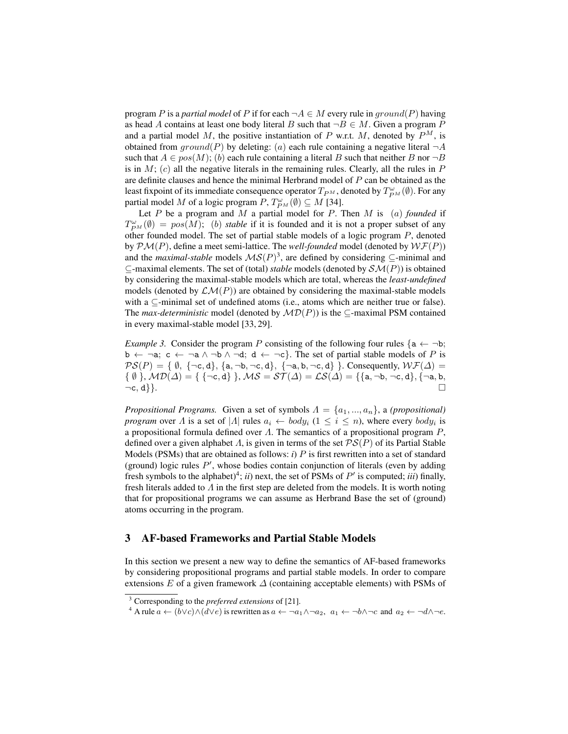program P is a *partial model* of P if for each  $\neg A \in M$  every rule in ground(P) having as head A contains at least one body literal B such that  $\neg B \in M$ . Given a program P and a partial model M, the positive instantiation of P w.r.t. M, denoted by  $P^M$ , is obtained from  $ground(P)$  by deleting: (a) each rule containing a negative literal  $\neg A$ such that  $A \in pos(M)$ ; (b) each rule containing a literal B such that neither B nor  $\neg B$ is in  $M$ ; (c) all the negative literals in the remaining rules. Clearly, all the rules in  $P$ are definite clauses and hence the minimal Herbrand model of P can be obtained as the least fixpoint of its immediate consequence operator  $T_{P^M}$ , denoted by  $T_{P^M}^{\omega}(\emptyset)$ . For any partial model M of a logic program  $P, T^{\omega}_{P^M}(\emptyset) \subseteq M$  [34].

Let  $P$  be a program and  $M$  a partial model for  $P$ . Then  $M$  is  $(a)$  *founded* if  $T_{PM}^{\omega}(\emptyset) = pos(M)$ ; (b) *stable* if it is founded and it is not a proper subset of any other founded model. The set of partial stable models of a logic program P, denoted by  $\mathcal{PM}(P)$ , define a meet semi-lattice. The *well-founded* model (denoted by  $\mathcal{WF}(P)$ ) and the *maximal-stable* models  $MS(P)^3$ , are defined by considering  $\subseteq$ -minimal and  $\subset$ -maximal elements. The set of (total) *stable* models (denoted by  $\mathcal{SM}(P)$ ) is obtained by considering the maximal-stable models which are total, whereas the *least-undefined* models (denoted by  $\mathcal{LM}(P)$ ) are obtained by considering the maximal-stable models with a  $\subseteq$ -minimal set of undefined atoms (i.e., atoms which are neither true or false). The *max-deterministic* model (denoted by  $MD(P)$ ) is the  $\subseteq$ -maximal PSM contained in every maximal-stable model [33, 29].

*Example 3.* Consider the program P consisting of the following four rules  $\{a \leftarrow \neg b;$  $b \leftarrow \neg a$ ;  $c \leftarrow \neg a \land \neg b \land \neg d$ ;  $d \leftarrow \neg c$ }. The set of partial stable models of P is  $\mathcal{PS}(P) = \{ \emptyset, \{\neg c, d\}, \{a, \neg b, \neg c, d\}, \{\neg a, b, \neg c, d\} \}.$  Consequently,  $\mathcal{WF}(\Delta) =$  $\{ \emptyset \}, \mathcal{MD}(\Delta) = \{ \{\neg c, d\} \}, \mathcal{MS} = \mathcal{ST}(\Delta) = \mathcal{LS}(\Delta) = \{\{\mathsf{a}, \neg \mathsf{b}, \neg c, \mathsf{d}\}, \{\neg \mathsf{a}, \mathsf{b}, \neg c, \mathsf{d}\} \}$  $\neg c, d$ }.

*Propositional Programs.* Given a set of symbols  $\Lambda = \{a_1, ..., a_n\}$ , a *(propositional) program* over  $\Lambda$  is a set of  $|\Lambda|$  rules  $a_i \leftarrow body_i$  ( $1 \leq i \leq n$ ), where every  $body_i$  is a propositional formula defined over  $\Lambda$ . The semantics of a propositional program  $P$ , defined over a given alphabet  $\Lambda$ , is given in terms of the set  $PS(P)$  of its Partial Stable Models (PSMs) that are obtained as follows: *i*) P is first rewritten into a set of standard (ground) logic rules  $P'$ , whose bodies contain conjunction of literals (even by adding fresh symbols to the alphabet)<sup>4</sup>; *ii*) next, the set of PSMs of  $P'$  is computed; *iii*) finally, fresh literals added to  $\Lambda$  in the first step are deleted from the models. It is worth noting that for propositional programs we can assume as Herbrand Base the set of (ground) atoms occurring in the program.

# 3 AF-based Frameworks and Partial Stable Models

In this section we present a new way to define the semantics of AF-based frameworks by considering propositional programs and partial stable models. In order to compare extensions E of a given framework  $\Delta$  (containing acceptable elements) with PSMs of

<sup>3</sup> Corresponding to the *preferred extensions* of [21].

<sup>&</sup>lt;sup>4</sup> A rule  $a \leftarrow (b \lor c) \land (d \lor e)$  is rewritten as  $a \leftarrow \neg a_1 \land \neg a_2$ ,  $a_1 \leftarrow \neg b \land \neg c$  and  $a_2 \leftarrow \neg d \land \neg e$ .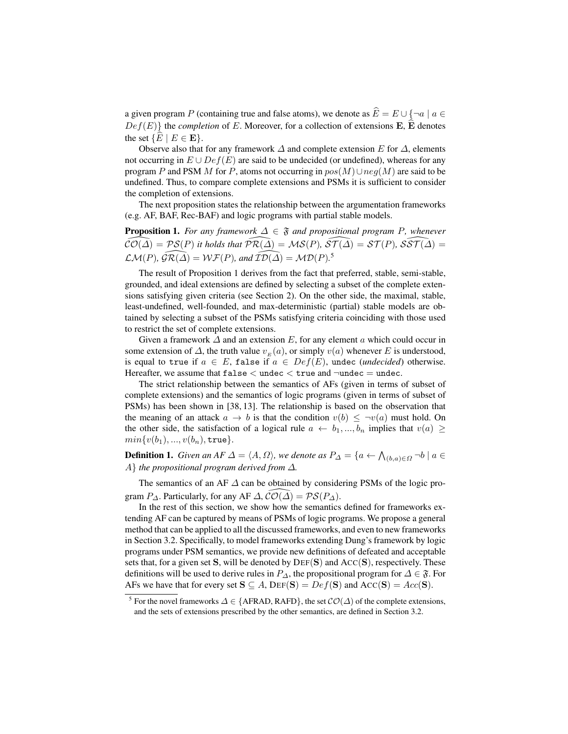a given program P (containing true and false atoms), we denote as  $\widehat{E} = E \cup \{\neg a \mid a \in$  $Def(E)$ } the *completion* of E. Moreover, for a collection of extensions **E**,  $\widehat{E}$  denotes the set  $\{E \mid E \in \mathbf{E}\}.$ 

Observe also that for any framework  $\Delta$  and complete extension E for  $\Delta$ , elements not occurring in  $E \cup Def(E)$  are said to be undecided (or undefined), whereas for any program P and PSM M for P, atoms not occurring in  $pos(M) \cup neg(M)$  are said to be undefined. Thus, to compare complete extensions and PSMs it is sufficient to consider the completion of extensions.

The next proposition states the relationship between the argumentation frameworks (e.g. AF, BAF, Rec-BAF) and logic programs with partial stable models.

**Proposition 1.** For any framework  $\Delta \in \mathfrak{F}$  and propositional program P, whenever  $\widehat{\mathcal{CO}(\Delta)} = \mathcal{PS}(P)$  it holds that  $\widehat{\mathcal{PR}}(\widehat{\Delta}) = \mathcal{MS}(P)$ *,*  $\widehat{\mathcal{ST}}(\widehat{\Delta}) = \mathcal{ST}(P)$ *,*  $\widehat{\mathcal{SST}}(\widehat{\Delta}) =$  $\mathcal{LM}(P)$ *,*  $\widehat{\mathcal{GR}(\Delta)} = \mathcal{WF}(P)$ *, and*  $\widehat{\mathcal{ID}(\Delta)} = \mathcal{MD}(P)$ <sup>5</sup>

The result of Proposition 1 derives from the fact that preferred, stable, semi-stable, grounded, and ideal extensions are defined by selecting a subset of the complete extensions satisfying given criteria (see Section 2). On the other side, the maximal, stable, least-undefined, well-founded, and max-deterministic (partial) stable models are obtained by selecting a subset of the PSMs satisfying criteria coinciding with those used to restrict the set of complete extensions.

Given a framework  $\Delta$  and an extension E, for any element a which could occur in some extension of  $\Delta$ , the truth value  $v_E(a)$ , or simply  $v(a)$  whenever E is understood, is equal to true if  $a \in E$ , false if  $a \in Def(E)$ , undec *(undecided)* otherwise. Hereafter, we assume that  $false <$  undec  $<$  true and  $\neg$ undec  $=$  undec.

The strict relationship between the semantics of AFs (given in terms of subset of complete extensions) and the semantics of logic programs (given in terms of subset of PSMs) has been shown in [38, 13]. The relationship is based on the observation that the meaning of an attack  $a \to b$  is that the condition  $v(b) \leq -v(a)$  must hold. On the other side, the satisfaction of a logical rule  $a \leftarrow b_1, ..., b_n$  implies that  $v(a) \geq$  $min{v(b_1), ..., v(b_n), \text{true}}.$ 

**Definition 1.** *Given an AF*  $\Delta = \langle A, \Omega \rangle$ *, we denote as*  $P_{\Delta} = \{a \leftarrow \bigwedge_{(b,a) \in \Omega} \neg b \mid a \in \Delta\}$ A} *the propositional program derived from* ∆*.*

The semantics of an AF ∆ can be obtained by considering PSMs of the logic program  $P_{\Delta}$ . Particularly, for any AF  $\Delta$ ,  $\overline{C}O(\overline{\Delta}) = \mathcal{PS}(P_{\Delta})$ .

In the rest of this section, we show how the semantics defined for frameworks extending AF can be captured by means of PSMs of logic programs. We propose a general method that can be applied to all the discussed frameworks, and even to new frameworks in Section 3.2. Specifically, to model frameworks extending Dung's framework by logic programs under PSM semantics, we provide new definitions of defeated and acceptable sets that, for a given set S, will be denoted by  $DEF(S)$  and  $Acc(S)$ , respectively. These definitions will be used to derive rules in  $P_{\Delta}$ , the propositional program for  $\Delta \in \mathfrak{F}$ . For AFs we have that for every set  $S \subseteq A$ ,  $DEF(S) = Def(S)$  and  $Acc(S) = Acc(S)$ .

<sup>&</sup>lt;sup>5</sup> For the novel frameworks  $\Delta \in \{AFRAD, RAFD\}$ , the set  $\mathcal{CO}(\Delta)$  of the complete extensions, and the sets of extensions prescribed by the other semantics, are defined in Section 3.2.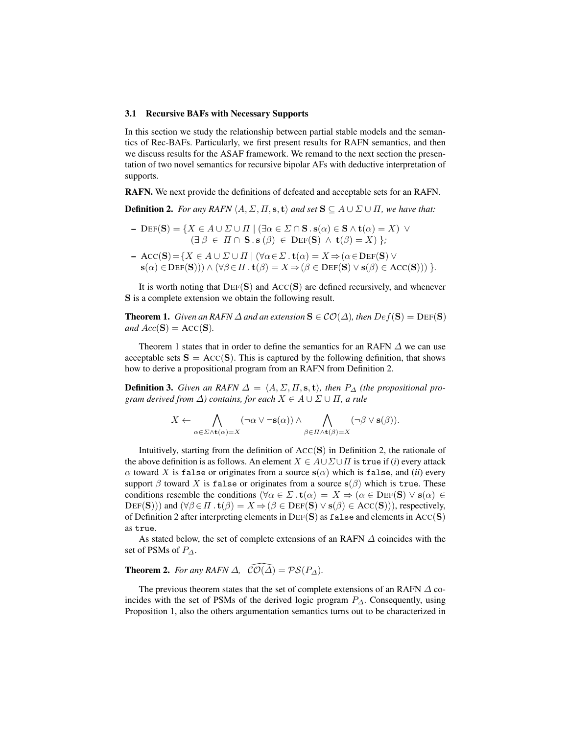#### 3.1 Recursive BAFs with Necessary Supports

In this section we study the relationship between partial stable models and the semantics of Rec-BAFs. Particularly, we first present results for RAFN semantics, and then we discuss results for the ASAF framework. We remand to the next section the presentation of two novel semantics for recursive bipolar AFs with deductive interpretation of supports.

RAFN. We next provide the definitions of defeated and acceptable sets for an RAFN.

**Definition 2.** *For any RAFN*  $\langle A, \Sigma, \Pi, s, t \rangle$  *and set*  $S \subseteq A \cup \Sigma \cup \Pi$ *, we have that:* 

- $–\text{DEF}(S) = \{X \in A \cup \Sigma \cup \Pi \mid (\exists \alpha \in \Sigma \cap S \cdot s(\alpha) \in S \wedge t(\alpha) = X) \,\vee\}$  $(\exists \beta \in \Pi \cap \mathbf{S} \cdot \mathbf{s} (\beta) \in \mathrm{DEF}(\mathbf{S}) \ \wedge \ \mathbf{t}(\beta) = X) \};$
- $-$  ACC(S) = { $X \in A \cup \Sigma \cup \Pi$  | ( $\forall \alpha \in \Sigma$ .  $\mathbf{t}(\alpha) = X \Rightarrow (\alpha \in \text{DEF}(\mathbf{S}) \vee \mathbf{S})$  $s(\alpha) \in \text{DEF}(S))$ )  $\wedge (\forall \beta \in \Pi \cdot t(\beta) = X \Rightarrow (\beta \in \text{DEF}(S) \vee s(\beta) \in \text{ACC}(S)))$  }.

It is worth noting that  $DEF(S)$  and  $Acc(S)$  are defined recursively, and whenever S is a complete extension we obtain the following result.

**Theorem 1.** *Given an RAFN*  $\Delta$  *and an extension*  $S \in \mathcal{CO}(\Delta)$ *, then*  $Def(S) = Def(S)$ *and*  $Acc(S) = Acc(S)$ *.* 

Theorem 1 states that in order to define the semantics for an RAFN  $\Delta$  we can use acceptable sets  $S = Acc(S)$ . This is captured by the following definition, that shows how to derive a propositional program from an RAFN from Definition 2.

**Definition 3.** *Given an RAFN*  $\Delta = \langle A, \Sigma, \Pi, \mathbf{s}, \mathbf{t} \rangle$ , then  $P_{\Delta}$  *(the propositional program derived from*  $\Delta$ *) contains, for each*  $X \in A \cup \Sigma \cup \Pi$ , *a rule* 

$$
X \leftarrow \bigwedge_{\alpha \in \Sigma \wedge \mathbf{t}(\alpha) = X} (\neg \alpha \vee \neg \mathbf{s}(\alpha)) \wedge \bigwedge_{\beta \in \Pi \wedge \mathbf{t}(\beta) = X} (\neg \beta \vee \mathbf{s}(\beta)).
$$

Intuitively, starting from the definition of  $Acc(S)$  in Definition 2, the rationale of the above definition is as follows. An element  $X \in A \cup \Sigma \cup \Pi$  is true if (*i*) every attack  $\alpha$  toward X is false or originates from a source  $s(\alpha)$  which is false, and *(ii)* every support  $\beta$  toward X is false or originates from a source  $s(\beta)$  which is true. These conditions resemble the conditions ( $\forall \alpha \in \Sigma$ .  $\mathbf{t}(\alpha) = X \Rightarrow (\alpha \in \text{DEF}(\mathbf{S}) \vee \mathbf{s}(\alpha)) \in$  $DEF(\mathbf{S})$ ) and  $(\forall \beta \in \Pi$ .  $\mathbf{t}(\beta) = X \Rightarrow (\beta \in \text{DEF}(\mathbf{S}) \vee \mathbf{s}(\beta) \in \text{Acc}(\mathbf{S}))$ , respectively, of Definition 2 after interpreting elements in  $DEF(S)$  as false and elements in  $Acc(S)$ as true.

As stated below, the set of complete extensions of an RAFN  $\Delta$  coincides with the set of PSMs of  $P_{\Delta}$ .

# **Theorem 2.** *For any RAFN*  $\Delta$ *,*  $\widehat{\mathcal{CO}}(\widehat{\Delta}) = \mathcal{PS}(P_{\Delta})$ *.*

The previous theorem states that the set of complete extensions of an RAFN  $\Delta$  coincides with the set of PSMs of the derived logic program P∆. Consequently, using Proposition 1, also the others argumentation semantics turns out to be characterized in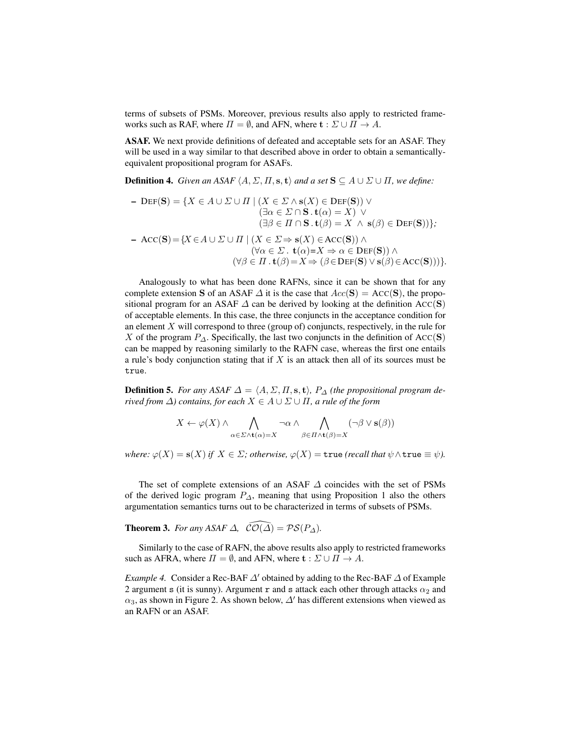terms of subsets of PSMs. Moreover, previous results also apply to restricted frameworks such as RAF, where  $\Pi = \emptyset$ , and AFN, where  $\mathbf{t} : \Sigma \cup \Pi \to A$ .

ASAF. We next provide definitions of defeated and acceptable sets for an ASAF. They will be used in a way similar to that described above in order to obtain a semanticallyequivalent propositional program for ASAFs.

**Definition 4.** *Given an ASAF*  $\langle A, \Sigma, \Pi, s, t \rangle$  *and a set*  $S \subseteq A \cup \Sigma \cup \Pi$ *, we define:* 

- 
$$
\text{DEF}(\mathbf{S}) = \{ X \in A \cup \Sigma \cup \Pi \mid (X \in \Sigma \wedge \mathbf{s}(X) \in \text{DEF}(\mathbf{S})) \vee
$$
  
\n
$$
(\exists \alpha \in \Sigma \cap \mathbf{S} \cdot \mathbf{t}(\alpha) = X) \vee
$$
  
\n
$$
(\exists \beta \in \Pi \cap \mathbf{S} \cdot \mathbf{t}(\beta) = X \wedge \mathbf{s}(\beta) \in \text{DEF}(\mathbf{S})) \};
$$
  
\n- 
$$
\text{Acc}(\mathbf{S}) = \{ X \in A \cup \Sigma \cup \Pi \mid (X \in \Sigma \Rightarrow \mathbf{s}(X) \in \text{Acc}(\mathbf{S})) \wedge
$$
  
\n
$$
(\forall \alpha \in \Sigma \cdot \mathbf{t}(\alpha) = X \Rightarrow \alpha \in \text{DEF}(\mathbf{S}) ) \wedge
$$
  
\n
$$
(\forall \beta \in \Pi \cdot \mathbf{t}(\beta) = X \Rightarrow (\beta \in \text{DEF}(\mathbf{S}) \vee \mathbf{s}(\beta) \in \text{Acc}(\mathbf{S}))) \}.
$$

Analogously to what has been done RAFNs, since it can be shown that for any complete extension S of an ASAF  $\Delta$  it is the case that  $Acc(S) = Acc(S)$ , the propositional program for an ASAF  $\Delta$  can be derived by looking at the definition ACC(S) of acceptable elements. In this case, the three conjuncts in the acceptance condition for an element  $X$  will correspond to three (group of) conjuncts, respectively, in the rule for X of the program  $P_{\Delta}$ . Specifically, the last two conjuncts in the definition of ACC(S) can be mapped by reasoning similarly to the RAFN case, whereas the first one entails a rule's body conjunction stating that if  $X$  is an attack then all of its sources must be true.

**Definition 5.** *For any ASAF*  $\Delta = \langle A, \Sigma, \Pi, \mathbf{s}, \mathbf{t} \rangle$ ,  $P_{\Delta}$  *(the propositional program derived from*  $\Delta$ *) contains, for each*  $X \in A \cup \Sigma \cup \Pi$ *, a rule of the form* 

$$
X \leftarrow \varphi(X) \land \bigwedge_{\alpha \in \Sigma \land \mathbf{t}(\alpha) = X} \neg \alpha \land \bigwedge_{\beta \in \Pi \land \mathbf{t}(\beta) = X} (\neg \beta \lor \mathbf{s}(\beta))
$$

*where:*  $\varphi(X) = s(X)$  *if*  $X \in \Sigma$ *; otherwise,*  $\varphi(X) = \text{true}$  *(recall that*  $\psi \wedge \text{true} \equiv \psi$ *).* 

The set of complete extensions of an ASAF ∆ coincides with the set of PSMs of the derived logic program  $P_{\Delta}$ , meaning that using Proposition 1 also the others argumentation semantics turns out to be characterized in terms of subsets of PSMs.

**Theorem 3.** *For any ASAF*  $\Delta$ *,*  $\widehat{\mathcal{CO}}(\widehat{\Delta}) = \mathcal{PS}(P_{\Delta})$ *.* 

Similarly to the case of RAFN, the above results also apply to restricted frameworks such as AFRA, where  $\Pi = \emptyset$ , and AFN, where  $\mathbf{t} : \Sigma \cup \Pi \to A$ .

*Example 4.* Consider a Rec-BAF  $\Delta'$  obtained by adding to the Rec-BAF  $\Delta$  of Example 2 argument s (it is sunny). Argument r and s attack each other through attacks  $\alpha_2$  and  $\alpha_3$ , as shown in Figure 2. As shown below,  $\Delta'$  has different extensions when viewed as an RAFN or an ASAF.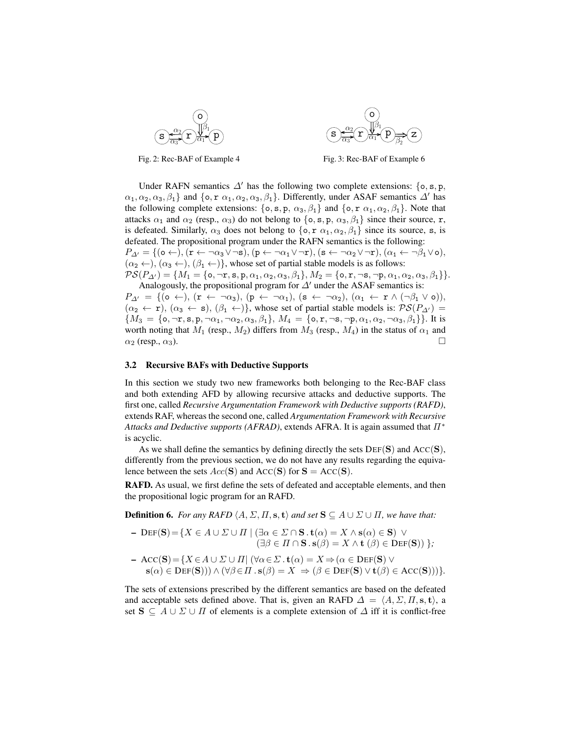



Fig. 2: Rec-BAF of Example 4

Fig. 3: Rec-BAF of Example 6

Under RAFN semantics  $\Delta'$  has the following two complete extensions: {o, s, p,  $\{\alpha_1, \alpha_2, \alpha_3, \beta_1\}$  and  $\{\infty, \infty, \alpha_1, \alpha_2, \alpha_3, \beta_1\}$ . Differently, under ASAF semantics  $\Delta'$  has the following complete extensions: { $\circ$ , s, p,  $\alpha_3$ ,  $\beta_1$ } and { $\circ$ , r  $\alpha_1$ ,  $\alpha_2$ ,  $\beta_1$ }. Note that attacks  $\alpha_1$  and  $\alpha_2$  (resp.,  $\alpha_3$ ) do not belong to {o, s, p,  $\alpha_3$ ,  $\beta_1$ } since their source, r, is defeated. Similarly,  $\alpha_3$  does not belong to  $\{\circ, \circ, \alpha_1, \alpha_2, \beta_1\}$  since its source, s, is defeated. The propositional program under the RAFN semantics is the following:  $P_{\varDelta'} = \{(\mathsf{o} \leftarrow), (\mathbf{r} \leftarrow \neg \alpha_3 \vee \neg \mathbf{s}), (\mathbf{p} \leftarrow \neg \alpha_1 \vee \neg \mathbf{r}), (\mathbf{s} \leftarrow \neg \alpha_2 \vee \neg \mathbf{r}), (\alpha_1 \leftarrow \neg \beta_1 \vee \mathsf{o}),$  $(\alpha_2 \leftarrow), (\alpha_3 \leftarrow), (\beta_1 \leftarrow)$ , whose set of partial stable models is as follows:  $\mathcal{PS}(P_{\Delta'}) = \{M_1 = \{\texttt{o}, \neg \texttt{r}, \texttt{s}, \texttt{p}, \alpha_1, \alpha_2, \alpha_3, \beta_1\}, M_2 = \{\texttt{o}, \texttt{r}, \neg \texttt{s}, \neg \texttt{p}, \alpha_1, \alpha_2, \alpha_3, \beta_1\}\}.$ 

Analogously, the propositional program for  $\Delta'$  under the ASAF semantics is:  $P_{\Delta'} = \{(\mathsf{o} \leftarrow), (\mathsf{r} \leftarrow \neg \alpha_3), (\mathsf{p} \leftarrow \neg \alpha_1), (\mathsf{s} \leftarrow \neg \alpha_2), (\alpha_1 \leftarrow \mathsf{r} \wedge (\neg \beta_1 \vee \mathsf{o})),$  $(\alpha_2 \leftarrow r)$ ,  $(\alpha_3 \leftarrow s)$ ,  $(\beta_1 \leftarrow)$ }, whose set of partial stable models is:  $\mathcal{PS}(P_{\Delta})$  =  ${M_3 = {\mathbf{o}, \neg r, \mathbf{s}, \mathbf{p}, \neg \alpha_1, \neg \alpha_2, \alpha_3, \beta_1}, M_4 = {\mathbf{o}, \mathbf{r}, \neg \mathbf{s}, \neg \mathbf{p}, \alpha_1, \alpha_2, \neg \alpha_3, \beta_1}.$  It is worth noting that  $M_1$  (resp.,  $M_2$ ) differs from  $M_3$  (resp.,  $M_4$ ) in the status of  $\alpha_1$  and  $\alpha_2$  (resp.,  $\alpha_3$ ).

#### 3.2 Recursive BAFs with Deductive Supports

In this section we study two new frameworks both belonging to the Rec-BAF class and both extending AFD by allowing recursive attacks and deductive supports. The first one, called *Recursive Argumentation Framework with Deductive supports (RAFD)*, extends RAF, whereas the second one, called *Argumentation Framework with Recursive Attacks and Deductive supports (AFRAD)*, extends AFRA. It is again assumed that  $\Pi^*$ is acyclic.

As we shall define the semantics by defining directly the sets  $DEF(S)$  and  $Acc(S)$ , differently from the previous section, we do not have any results regarding the equivalence between the sets  $Acc(S)$  and  $Acc(S)$  for  $S = Acc(S)$ .

RAFD. As usual, we first define the sets of defeated and acceptable elements, and then the propositional logic program for an RAFD.

**Definition 6.** *For any RAFD*  $\langle A, \Sigma, \Pi, \mathbf{s}, \mathbf{t} \rangle$  *and set*  $\mathbf{S} \subseteq A \cup \Sigma \cup \Pi$ *, we have that:* 

- 
$$
\text{DEF}(S) = \{ X \in A \cup \Sigma \cup \Pi \mid (\exists \alpha \in \Sigma \cap S \cdot t(\alpha) = X \land s(\alpha) \in S) \lor (\exists \beta \in \Pi \cap S \cdot s(\beta) = X \land t(\beta) \in \text{DEF}(S)) \};
$$

- 
$$
Acc(S) = \{ X \in A \cup \Sigma \cup \Pi | (\forall \alpha \in \Sigma \cdot t(\alpha) = X \Rightarrow (\alpha \in DEF(S)) \vee s(\alpha) \in DEF(S)) \land (\forall \beta \in \Pi \cdot s(\beta) = X \Rightarrow (\beta \in DEF(S) \vee t(\beta) \in Acc(S))) \}.
$$

The sets of extensions prescribed by the different semantics are based on the defeated and acceptable sets defined above. That is, given an RAFD  $\Delta = \langle A, \Sigma, \Pi, \mathbf{s}, \mathbf{t} \rangle$ , a set  $S \subseteq A \cup \Sigma \cup \Pi$  of elements is a complete extension of  $\Delta$  iff it is conflict-free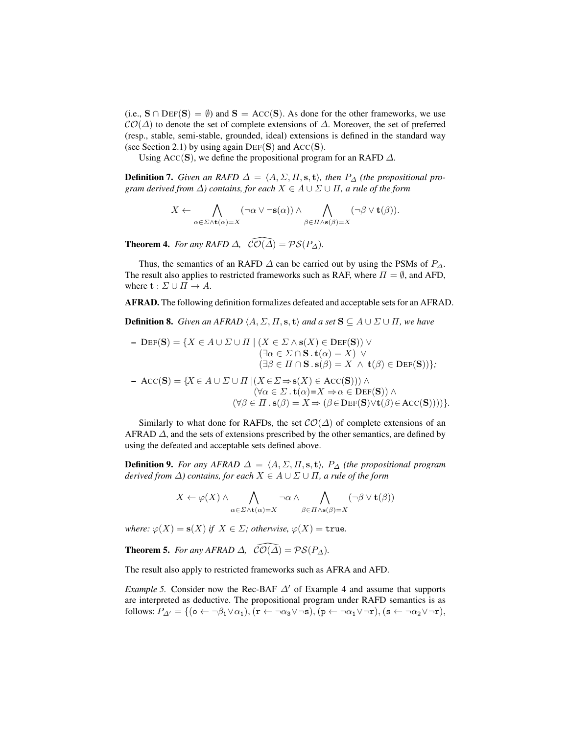(i.e.,  $S \cap \text{DEF}(S) = \emptyset$ ) and  $S = \text{Acc}(S)$ . As done for the other frameworks, we use  $\mathcal{CO}(\Delta)$  to denote the set of complete extensions of  $\Delta$ . Moreover, the set of preferred (resp., stable, semi-stable, grounded, ideal) extensions is defined in the standard way (see Section 2.1) by using again  $DEF(S)$  and  $Acc(S)$ .

Using ACC(S), we define the propositional program for an RAFD  $\Delta$ .

**Definition 7.** *Given an RAFD*  $\Delta = \langle A, \Sigma, \Pi, \mathbf{s}, \mathbf{t} \rangle$ *, then*  $P_{\Delta}$  *(the propositional program derived from*  $\Delta$ *) contains, for each*  $X \in A \cup \Sigma \cup \Pi$ *, a rule of the form* 

$$
X \leftarrow \bigwedge_{\alpha \in \Sigma \wedge \mathbf{t}(\alpha) = X} (\neg \alpha \vee \neg \mathbf{s}(\alpha)) \wedge \bigwedge_{\beta \in \Pi \wedge \mathbf{s}(\beta) = X} (\neg \beta \vee \mathbf{t}(\beta)).
$$

**Theorem 4.** *For any RAFD*  $\Delta$ *,*  $\widehat{\mathcal{CO}(\Delta)} = \mathcal{PS}(P_{\Delta})$ *.* 

Thus, the semantics of an RAFD  $\Delta$  can be carried out by using the PSMs of  $P_{\Delta}$ . The result also applies to restricted frameworks such as RAF, where  $\Pi = \emptyset$ , and AFD, where  $\mathbf{t} : \Sigma \cup \Pi \to A$ .

AFRAD. The following definition formalizes defeated and acceptable sets for an AFRAD.

**Definition 8.** *Given an AFRAD*  $\langle A, \Sigma, \Pi, \mathbf{s}, \mathbf{t} \rangle$  *and a set*  $\mathbf{S} \subseteq A \cup \Sigma \cup \Pi$ *, we have* 

- 
$$
\text{DEF}(\mathbf{S}) = \{ X \in A \cup \Sigma \cup \Pi \mid (X \in \Sigma \wedge \mathbf{s}(X) \in \text{DEF}(\mathbf{S})) \vee
$$
  
\n
$$
(\exists \alpha \in \Sigma \cap \mathbf{S} \cdot \mathbf{t}(\alpha) = X) \vee
$$
  
\n
$$
(\exists \beta \in \Pi \cap \mathbf{S} \cdot \mathbf{s}(\beta) = X \wedge \mathbf{t}(\beta) \in \text{DEF}(\mathbf{S})) \};
$$

$$
\begin{aligned}\n\text{Acc}(\mathbf{S}) &= \{ X \in A \cup \Sigma \cup \Pi \mid (X \in \Sigma \Rightarrow \mathbf{s}(X) \in \text{Acc}(\mathbf{S}))) \land \\
&\quad (\forall \alpha \in \Sigma \cdot \mathbf{t}(\alpha) = X \Rightarrow \alpha \in \text{DEF}(\mathbf{S})) \land \\
&\quad (\forall \beta \in \Pi \cdot \mathbf{s}(\beta) = X \Rightarrow (\beta \in \text{DEF}(\mathbf{S}) \lor \mathbf{t}(\beta) \in \text{Acc}(\mathbf{S})))) \}.\n\end{aligned}
$$

Similarly to what done for RAFDs, the set  $\mathcal{CO}(\Delta)$  of complete extensions of an AFRAD  $\Delta$ , and the sets of extensions prescribed by the other semantics, are defined by using the defeated and acceptable sets defined above.

**Definition 9.** *For any AFRAD*  $\Delta = \langle A, \Sigma, \Pi, s, t \rangle$ ,  $P_{\Delta}$  *(the propositional program*) *derived from*  $\Delta$ *) contains, for each*  $X \in A \cup \Sigma \cup \Pi$ *, a rule of the form* 

$$
X \leftarrow \varphi(X) \land \bigwedge_{\alpha \in \Sigma \land \mathbf{t}(\alpha) = X} \neg \alpha \land \bigwedge_{\beta \in \Pi \land \mathbf{s}(\beta) = X} (\neg \beta \lor \mathbf{t}(\beta))
$$

*where:*  $\varphi(X) = s(X)$  *if*  $X \in \Sigma$ *; otherwise,*  $\varphi(X) = \text{true}$ *.* 

**Theorem 5.** *For any AFRAD*  $\Delta$ *,*  $\widehat{\mathcal{CO}(\Delta)} = \mathcal{PS}(P_{\Delta})$ *.* 

The result also apply to restricted frameworks such as AFRA and AFD.

*Example 5.* Consider now the Rec-BAF  $\Delta'$  of Example 4 and assume that supports are interpreted as deductive. The propositional program under RAFD semantics is as follows:  $P_{\Delta'} = \{(\mathbf{o} \leftarrow \neg \beta_1 \vee \alpha_1), (\mathbf{r} \leftarrow \neg \alpha_3 \vee \neg \mathbf{s}), (\mathbf{p} \leftarrow \neg \alpha_1 \vee \neg \mathbf{r}), (\mathbf{s} \leftarrow \neg \alpha_2 \vee \neg \mathbf{r}),$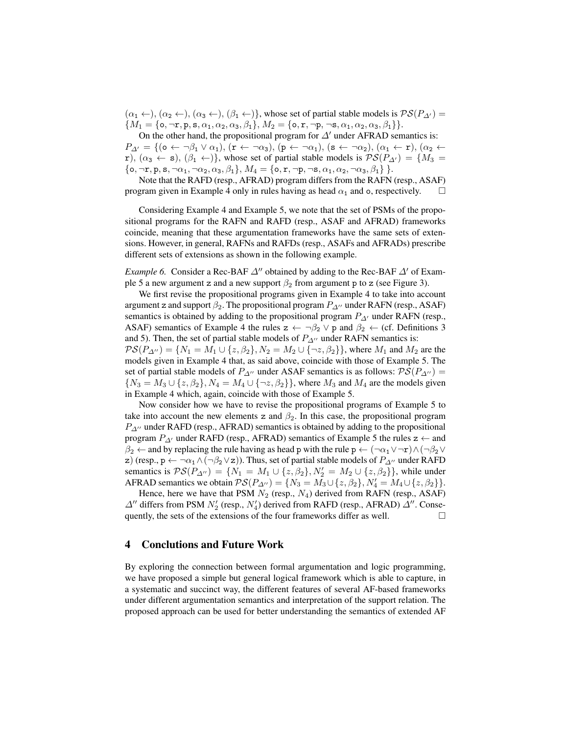$(\alpha_1 \leftarrow), (\alpha_2 \leftarrow), (\alpha_3 \leftarrow), (\beta_1 \leftarrow)$ , whose set of partial stable models is  $\mathcal{PS}(P_{\Delta}) =$  ${M_1 = {\mathbf{\lbrace o, \neg r, p, s, \alpha_1, \alpha_2, \alpha_3, \beta_1 \rbrace}, M_2 = {\mathbf{\lbrace o, r, \neg p, \neg s, \alpha_1, \alpha_2, \alpha_3, \beta_1 \rbrace}.}}$ 

On the other hand, the propositional program for  $\Delta'$  under AFRAD semantics is:  $P_{\Delta'} = \{(\mathbf{o} \leftarrow \neg \beta_1 \vee \alpha_1), (\mathbf{r} \leftarrow \neg \alpha_3), (\mathbf{p} \leftarrow \neg \alpha_1), (\mathbf{s} \leftarrow \neg \alpha_2), (\alpha_1 \leftarrow \mathbf{r}), (\alpha_2 \leftarrow \mathbf{r})\}$ r),  $(\alpha_3 \leftarrow s)$ ,  $(\beta_1 \leftarrow)$ , whose set of partial stable models is  $\mathcal{PS}(P_{\Delta}) = \{M_3 =$  $\{\mathbf{o}, \neg \mathbf{r}, \mathbf{p}, \mathbf{s}, \neg \alpha_1, \neg \alpha_2, \alpha_3, \beta_1\}, M_4 = \{\mathbf{o}, \mathbf{r}, \neg \mathbf{p}, \neg \mathbf{s}, \alpha_1, \alpha_2, \neg \alpha_3, \beta_1\}.$ 

Note that the RAFD (resp., AFRAD) program differs from the RAFN (resp., ASAF) program given in Example 4 only in rules having as head  $\alpha_1$  and  $\alpha$ , respectively.  $\Box$ 

Considering Example 4 and Example 5, we note that the set of PSMs of the propositional programs for the RAFN and RAFD (resp., ASAF and AFRAD) frameworks coincide, meaning that these argumentation frameworks have the same sets of extensions. However, in general, RAFNs and RAFDs (resp., ASAFs and AFRADs) prescribe different sets of extensions as shown in the following example.

*Example 6.* Consider a Rec-BAF  $\Delta$ <sup>*''*</sup> obtained by adding to the Rec-BAF  $\Delta$ <sup>'</sup> of Example 5 a new argument z and a new support  $\beta_2$  from argument p to z (see Figure 3).

We first revise the propositional programs given in Example 4 to take into account argument z and support  $\beta_2$ . The propositional program  $P_{\Delta}$ <sup>0</sup> under RAFN (resp., ASAF) semantics is obtained by adding to the propositional program  $P_{\Delta}$  under RAFN (resp., ASAF) semantics of Example 4 the rules  $z \leftarrow \neg \beta_2 \vee p$  and  $\beta_2 \leftarrow$  (cf. Definitions 3 and 5). Then, the set of partial stable models of  $P_{\Delta}$ <sup>0</sup> under RAFN semantics is:  $\mathcal{PS}(P_{\Delta''}) = \{N_1 = M_1 \cup \{z, \beta_2\}, N_2 = M_2 \cup \{\neg z, \beta_2\}\}\,$ , where  $M_1$  and  $M_2$  are the models given in Example 4 that, as said above, coincide with those of Example 5. The set of partial stable models of  $P_{\Delta}$ <sup>0</sup> under ASAF semantics is as follows:  $\mathcal{PS}(P_{\Delta}^0)$  =  ${N_3 = M_3 \cup \{z, \beta_2\}, N_4 = M_4 \cup \{\neg z, \beta_2\}\}\,$ , where  $M_3$  and  $M_4$  are the models given in Example 4 which, again, coincide with those of Example 5.

Now consider how we have to revise the propositional programs of Example 5 to take into account the new elements z and  $\beta_2$ . In this case, the propositional program  $P_{\Delta}$ <sup>0</sup> under RAFD (resp., AFRAD) semantics is obtained by adding to the propositional program  $P_{\Delta}$  under RAFD (resp., AFRAD) semantics of Example 5 the rules  $z \leftarrow$  and  $\beta_2 \leftarrow$  and by replacing the rule having as head p with the rule p  $\leftarrow (\neg \alpha_1 \vee \neg r) \wedge (\neg \beta_2 \vee \neg r)$ z) (resp., p ← ¬ $\alpha_1 \wedge (\neg \beta_2 \vee z)$ ). Thus, set of partial stable models of  $P_{\Delta}$ <sup>1</sup> under RAFD semantics is  $\mathcal{PS}(P_{\Delta''}) = \{ N_1 = M_1 \cup \{ z, \beta_2 \}, N_2' = M_2 \cup \{ z, \beta_2 \} \}$ , while under AFRAD semantics we obtain  $\mathcal{PS}(P_{\Delta''}) = \{N_3 = M_3 \cup \{z, \beta_2\}, N'_4 = M_4 \cup \{z, \beta_2\}\}.$ 

Hence, here we have that PSM  $N_2$  (resp.,  $N_4$ ) derived from RAFN (resp., ASAF)  $\Delta$ <sup>*n*</sup> differs from PSM  $N_2'$  (resp.,  $N_4'$ ) derived from RAFD (resp., AFRAD)  $\Delta$ <sup>*n*</sup>. Consequently, the sets of the extensions of the four frameworks differ as well.  $\Box$ 

## 4 Conclutions and Future Work

By exploring the connection between formal argumentation and logic programming, we have proposed a simple but general logical framework which is able to capture, in a systematic and succinct way, the different features of several AF-based frameworks under different argumentation semantics and interpretation of the support relation. The proposed approach can be used for better understanding the semantics of extended AF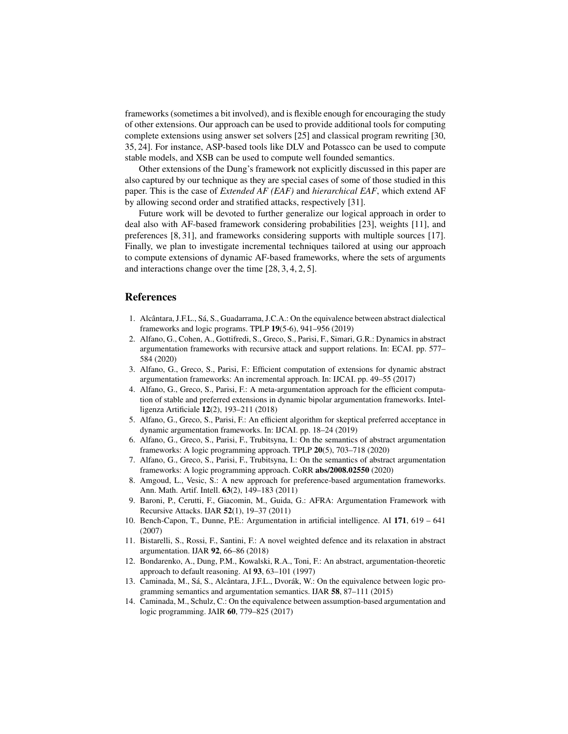frameworks (sometimes a bit involved), and is flexible enough for encouraging the study of other extensions. Our approach can be used to provide additional tools for computing complete extensions using answer set solvers [25] and classical program rewriting [30, 35, 24]. For instance, ASP-based tools like DLV and Potassco can be used to compute stable models, and XSB can be used to compute well founded semantics.

Other extensions of the Dung's framework not explicitly discussed in this paper are also captured by our technique as they are special cases of some of those studied in this paper. This is the case of *Extended AF (EAF)* and *hierarchical EAF*, which extend AF by allowing second order and stratified attacks, respectively [31].

Future work will be devoted to further generalize our logical approach in order to deal also with AF-based framework considering probabilities [23], weights [11], and preferences [8, 31], and frameworks considering supports with multiple sources [17]. Finally, we plan to investigate incremental techniques tailored at using our approach to compute extensions of dynamic AF-based frameworks, where the sets of arguments and interactions change over the time [28, 3, 4, 2, 5].

# References

- 1. Alcântara, J.F.L., Sá, S., Guadarrama, J.C.A.: On the equivalence between abstract dialectical frameworks and logic programs. TPLP 19(5-6), 941–956 (2019)
- 2. Alfano, G., Cohen, A., Gottifredi, S., Greco, S., Parisi, F., Simari, G.R.: Dynamics in abstract argumentation frameworks with recursive attack and support relations. In: ECAI. pp. 577– 584 (2020)
- 3. Alfano, G., Greco, S., Parisi, F.: Efficient computation of extensions for dynamic abstract argumentation frameworks: An incremental approach. In: IJCAI. pp. 49–55 (2017)
- 4. Alfano, G., Greco, S., Parisi, F.: A meta-argumentation approach for the efficient computation of stable and preferred extensions in dynamic bipolar argumentation frameworks. Intelligenza Artificiale 12(2), 193–211 (2018)
- 5. Alfano, G., Greco, S., Parisi, F.: An efficient algorithm for skeptical preferred acceptance in dynamic argumentation frameworks. In: IJCAI. pp. 18–24 (2019)
- 6. Alfano, G., Greco, S., Parisi, F., Trubitsyna, I.: On the semantics of abstract argumentation frameworks: A logic programming approach. TPLP 20(5), 703–718 (2020)
- 7. Alfano, G., Greco, S., Parisi, F., Trubitsyna, I.: On the semantics of abstract argumentation frameworks: A logic programming approach. CoRR abs/2008.02550 (2020)
- 8. Amgoud, L., Vesic, S.: A new approach for preference-based argumentation frameworks. Ann. Math. Artif. Intell. 63(2), 149–183 (2011)
- 9. Baroni, P., Cerutti, F., Giacomin, M., Guida, G.: AFRA: Argumentation Framework with Recursive Attacks. IJAR 52(1), 19–37 (2011)
- 10. Bench-Capon, T., Dunne, P.E.: Argumentation in artificial intelligence. AI 171, 619 641 (2007)
- 11. Bistarelli, S., Rossi, F., Santini, F.: A novel weighted defence and its relaxation in abstract argumentation. IJAR 92, 66–86 (2018)
- 12. Bondarenko, A., Dung, P.M., Kowalski, R.A., Toni, F.: An abstract, argumentation-theoretic approach to default reasoning. AI 93, 63–101 (1997)
- 13. Caminada, M., Sá, S., Alcântara, J.F.L., Dvorák, W.: On the equivalence between logic programming semantics and argumentation semantics. IJAR 58, 87–111 (2015)
- 14. Caminada, M., Schulz, C.: On the equivalence between assumption-based argumentation and logic programming. JAIR 60, 779–825 (2017)